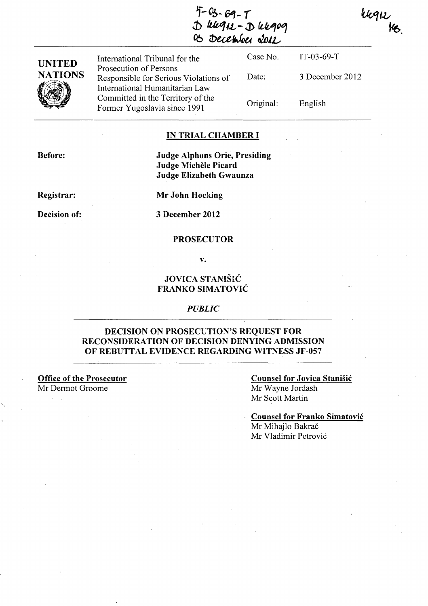$4-03-69-7$ **.j)** *!tft,q/J.,-* **J>** *(¿bq0***1**  05 December 2012

kkqk<br>Ks.

| <b>UNITED</b>       | International Tribunal for the                                                                      | Case No.  | IT-03-69-T      |
|---------------------|-----------------------------------------------------------------------------------------------------|-----------|-----------------|
| <b>NATIONS</b><br>W | Prosecution of Persons<br>Responsible for Serious Violations of                                     | Date:     | 3 December 2012 |
|                     | International Humanitarian Law<br>Committed in the Territory of the<br>Former Yugoslavia since 1991 | Original: | English         |

### **IN TRIAL CHAMBER I**

**Before:** 

**Judge Alphons Orie, Presiding Judge Michele Picard Judge Elizabeth Gwaunza** 

**Registrar:** 

**Mr John Hocking** 

**Decision of:** 

**3 December 2012** 

### **PROSECUTOR**

**v.** 

## **JOVICA STANISIé FRANKO SIMATOVlé**

### **PUBLle**

## **DECISION ON PROSECUTION'S REQUEST FOR RECONSIDERATION OF DECISION DENYING ADMISSION OF REBUTTAL EVIDENCE REGARDING WITNESS JF-057**

**Office of the Prosecutor**  Mr Dermot Groome

## **Counsel for Jovica Stanišić** Mr Wayne Jordash Mr Scott Martin

**Counsel for Franko Simatovié**  Mr Mihajlo Bakrač Mr Vladimir Petrovié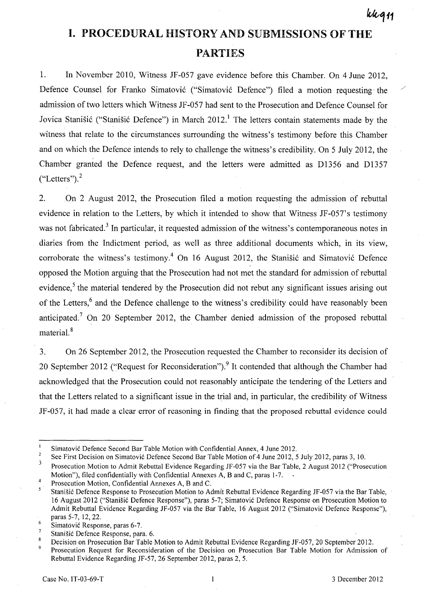/

# **I. PROCEDURAL HISTORY AND SUBMISSIONS OF THE PARTIES**

1. In November 2010, Witness JF-057 gave evidence before this Chamber. On 4 June 2012, Defence Counsel for Franko Simatovié ("Simatovié Defence") filed a motion requesting' the admission of two letters which Witness JF-057 had sent to the Prosecution and Defence Counsel for Jovica Stanišić ("Stanišić Defence") in March 2012.<sup>1</sup> The letters contain statements made by the witness that relate to the circumstances surrounding the witness's testimony before this Chamber and on which the Defence intends to rely to challenge the witness's credibility. On 5 July 2012, the Chamber granted the Defence request, and the letters were admitted as D1356 and D1357  $("Letters").<sup>2</sup>$ 

2. On 2 August 2012, the Prosecution filed a motion requesting the admission of rebuttal evidence in relation to the Letters, by which it intended to show that Witness JF-057's testimony was not fabricated.<sup>3</sup> In particular, it requested admission of the witness's contemporaneous notes in diaries from the Indictment period, as well as three additional documents which, in its view, corroborate the witness's testimony.<sup>4</sup> On 16 August 2012, the Stanistic and Simatovic Defence opposed the Motion arguing that the Prosecution had not met the standard for admission of rebuttal evidence,<sup>5</sup> the material tendered by the Prosecution did not rebut any significant issues arising out of the Letters,<sup>6</sup> and the Defence challenge to the witness's credibility could have reasonably been anticipated.<sup>7</sup> On 20 September 2012, the Chamber denied admission of the proposed rebuttal material. 8

3. On 26 September 2012, the Prosecution requested the Chamber to reconsider its decision of 20 September 2012 ("Request for Reconsideration").<sup>9</sup> It contended that although the Chamber had acknowledged that the Prosecution could not reasonably anticipate the tendering of the Letters and that the Letters related to a significant issue in the trial and, in particular, the credibility of Witness JF-057, it had made a clear error of reasoning in finding that the proposed rebuttal evidence could

 ${\bf 8}$ Decision on Prosecution Bar Table Motion to Admit Rebuttal Evidence Regarding JF-057, 20 September 2012. 9 Prosecution Request for Reconsideration of the Decision on Prosecution Bar Table Motion for Admission of Rebuttal Evidence Regarding JF-57, 26 September 2012, paras 2,5.

 $\mathbf{I}$ Simatović Defence Second Bar Table Motion with Confidential Annex, 4 June 2012.  $\overline{2}$ 

See First Decision on Simatovié Defence Second Bar Table Motion of 4 June 2012, 5 July 2012, paras 3, 10.

<sup>3</sup>  4 Prosecution Motion to Admit Rebuttal Evidence Regarding JF-057 via the Bar Table, 2 August 2012 ("Prosecution Motion"), filed confidentially with Confidential Annexes A, B and C, paras 1-7.

Prosecution Motion, Confidential Annexes A, B and C.

<sup>5</sup> Stanisié Defence Response to Prosecution Motion to Admit Rebuttal Evidence Regarding JF-057 via the Bar Table, 16 August 2012 ("Stanisié Defence Response"), paras 5-7; Simatovié Defence Response on Prosecution Motion to Admit Rebuttal Evidence Regarding JF -057 via the Bar Table, 16 August 2012 ("Simatovié Defence Response"), paras 5-7, 12,22.

<sup>6</sup>  Simatović Response, paras 6-7.  $\overline{7}$ 

Stanisié Defence Response, para. 6.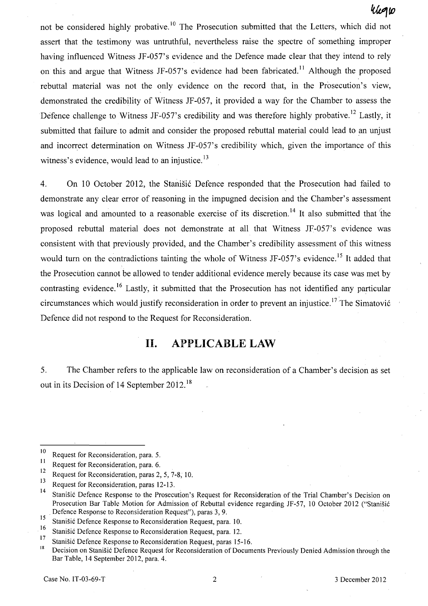## *IUvtro*

not be considered highly probative.<sup>10</sup> The Prosecution submitted that the Letters, which did not assert that the testimony was untruthful, nevertheless raise the spectre of something improper having influenced Witness JF-057's evidence and the Defence made clear that they intend to rely on this and argue that Witness JF-057's evidence had been fabricated.<sup>11</sup> Although the proposed rebuttal material was not the only evidence on the record that, in the Prosecution's view, demonstrated the credibility of Witness JF-057, it provided a way for the Chamber to assess the Defence challenge to Witness JF-057's credibility and was therefore highly probative.<sup>12</sup> Lastly, it submitted that failure to admit and consider the proposed rebuttal material could lead to an unjust and incorrect determination on Witness JF-057's credibility which, given the importance of this witness's evidence, would lead to an injustice.  $\frac{13}{2}$ 

4. On 10 October 2012, the Stanisié Defence responded that the Prosecution had failed to demonstrate any clear error of reasoning in the impugned decision and the Chamber's assessment was logical and amounted to a reasonable exercise of its discretion.<sup>14</sup> It also submitted that the proposed rebuttal material does not demonstrate at all that Witness JF-057's evidence was consistent with that previously provided, and the Chamber's credibility assessment of this witness would turn on the contradictions tainting the whole of Witness JF-057's evidence.<sup>15</sup> It added that the Prosecution cannot be allowed to tender additional evidence merely because its case was met by contrasting evidence.<sup>16</sup> Lastly, it submitted that the Prosecution has not identified any particular circumstances which would justify reconsideration in order to prevent an injustice.<sup>17</sup> The Simatović Defence did not respond to the Request for Reconsideration.

## **II. APPLICABLE LAW**

5. The Chamber refers to the applicable law on reconsideration of a Chamber's decision as set out in its Decision of 14 September 2012. <sup>18</sup>

<sup>&</sup>lt;sup>10</sup> Request for Reconsideration, para. 5.<br><sup>11</sup> Begyest for Beannideration, para. 6

 $\frac{11}{12}$  Request for Reconsideration, para. 6.

<sup>&</sup>lt;sup>12</sup> Request for Reconsideration, paras 2, 5, 7-8, 10.<br><sup>13</sup>

<sup>&</sup>lt;sup>13</sup> Request for Reconsideration, paras 12-13.

Stanišić Defence Response to the Prosecution's Request for Reconsideration of the Trial Chamber's Decision on Prosecution Bar Table Motion for Admission of Rebuttal evidence regarding JF-57, 10 October 2012 ("Stanisié . Defence Response to Reconsideration Reguest"), paras 3, 9.

<sup>15</sup> Stanišić Defence Response to Reconsideration Request, para. 10.<br>
<sup>16</sup> Stanišić Defence Response to Reconsideration Request, para. 10.

<sup>&</sup>lt;sup>16</sup> Stanišić Defence Response to Reconsideration Request, para. 12.<br><sup>17</sup> Stanišić Defence Response to Reconsideration Reguest name. 15

<sup>&</sup>lt;sup>17</sup> Stanišić Defence Response to Reconsideration Request, paras 15-16.

<sup>18</sup> Decision on StaniSié Defence Reguest for Reconsideration of Documents Previous1y Denied Admission through the Bar Table, 14 September 2012, para. 4.